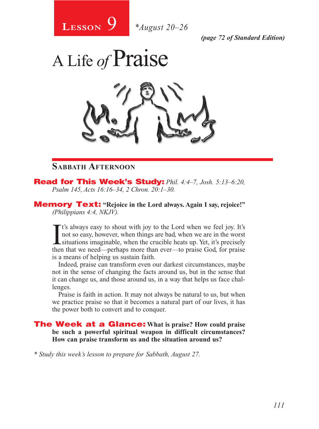

*(page 72 of Standard Edition)*

# A Life *of* Praise

# **Sabbath Afternoon**

Read for This Week's Study: *Phil. 4:4–7, Josh. 5:13–6:20, Psalm 145, Acts 16:16–34, 2 Chron. 20:1–30.*

Memory Text: **"Rejoice in the Lord always. Again I say, rejoice!"** *(Philippians 4:4, NKJV).* 

It's always easy to shout with joy to the Lord when we feel joy. It's<br>not so easy, however, when things are bad, when we are in the worst<br>situations imaginable, when the crucible heats up. Yet, it's precisely<br>then that we t's always easy to shout with joy to the Lord when we feel joy. It's not so easy, however, when things are bad, when we are in the worst then that we need—perhaps more than ever—to praise God, for praise is a means of helping us sustain faith.

Indeed, praise can transform even our darkest circumstances, maybe not in the sense of changing the facts around us, but in the sense that it can change us, and those around us, in a way that helps us face challenges.

Praise is faith in action. It may not always be natural to us, but when we practice praise so that it becomes a natural part of our lives, it has the power both to convert and to conquer.

#### The Week at a Glance: **What is praise? How could praise be such a powerful spiritual weapon in difficult circumstances? How can praise transform us and the situation around us?**

*\* Study this week's lesson to prepare for Sabbath, August 27.*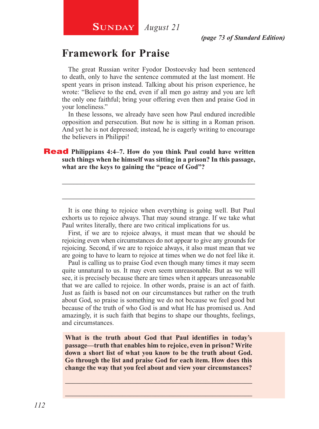# **SUNDAY** *August 21*

# **Framework for Praise**

The great Russian writer Fyodor Dostoevsky had been sentenced to death, only to have the sentence commuted at the last moment. He spent years in prison instead. Talking about his prison experience, he wrote: "Believe to the end, even if all men go astray and you are left the only one faithful; bring your offering even then and praise God in your loneliness."

In these lessons, we already have seen how Paul endured incredible opposition and persecution. But now he is sitting in a Roman prison. And yet he is not depressed; instead, he is eagerly writing to encourage the believers in Philippi!

#### **Read** Philippians 4:4–7. How do you think Paul could have written **such things when he himself was sitting in a prison? In this passage, what are the keys to gaining the "peace of God"?**

It is one thing to rejoice when everything is going well. But Paul exhorts us to rejoice always. That may sound strange. If we take what Paul writes literally, there are two critical implications for us.

\_\_\_\_\_\_\_\_\_\_\_\_\_\_\_\_\_\_\_\_\_\_\_\_\_\_\_\_\_\_\_\_\_\_\_\_\_\_\_\_\_\_\_\_\_\_\_\_\_\_\_\_

\_\_\_\_\_\_\_\_\_\_\_\_\_\_\_\_\_\_\_\_\_\_\_\_\_\_\_\_\_\_\_\_\_\_\_\_\_\_\_\_\_\_\_\_\_\_\_\_\_\_\_\_

First, if we are to rejoice always, it must mean that we should be rejoicing even when circumstances do not appear to give any grounds for rejoicing. Second, if we are to rejoice always, it also must mean that we are going to have to learn to rejoice at times when we do not feel like it.

Paul is calling us to praise God even though many times it may seem quite unnatural to us. It may even seem unreasonable. But as we will see, it is precisely because there are times when it appears unreasonable that we are called to rejoice. In other words, praise is an act of faith. Just as faith is based not on our circumstances but rather on the truth about God, so praise is something we do not because we feel good but because of the truth of who God is and what He has promised us. And amazingly, it is such faith that begins to shape our thoughts, feelings, and circumstances.

**What is the truth about God that Paul identifies in today's passage—truth that enables him to rejoice, even in prison? Write down a short list of what you know to be the truth about God. Go through the list and praise God for each item. How does this change the way that you feel about and view your circumstances?**

\_\_\_\_\_\_\_\_\_\_\_\_\_\_\_\_\_\_\_\_\_\_\_\_\_\_\_\_\_\_\_\_\_\_\_\_\_\_\_\_\_\_\_\_\_\_\_\_\_\_\_\_ \_\_\_\_\_\_\_\_\_\_\_\_\_\_\_\_\_\_\_\_\_\_\_\_\_\_\_\_\_\_\_\_\_\_\_\_\_\_\_\_\_\_\_\_\_\_\_\_\_\_\_\_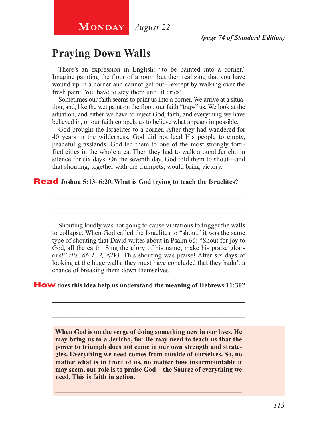# **Praying Down Walls**

There's an expression in English: "to be painted into a corner." Imagine painting the floor of a room but then realizing that you have wound up in a corner and cannot get out—except by walking over the fresh paint. You have to stay there until it dries!

Sometimes our faith seems to paint us into a corner. We arrive at a situation, and, like the wet paint on the floor, our faith "traps" us. We look at the situation, and either we have to reject God, faith, and everything we have believed in, or our faith compels us to believe what appears impossible.

God brought the Israelites to a corner. After they had wandered for 40 years in the wilderness, God did not lead His people to empty, peaceful grasslands. God led them to one of the most strongly fortified cities in the whole area. Then they had to walk around Jericho in silence for six days. On the seventh day, God told them to shout—and that shouting, together with the trumpets, would bring victory.

\_\_\_\_\_\_\_\_\_\_\_\_\_\_\_\_\_\_\_\_\_\_\_\_\_\_\_\_\_\_\_\_\_\_\_\_\_\_\_\_\_\_\_\_\_\_\_\_\_\_\_\_

\_\_\_\_\_\_\_\_\_\_\_\_\_\_\_\_\_\_\_\_\_\_\_\_\_\_\_\_\_\_\_\_\_\_\_\_\_\_\_\_\_\_\_\_\_\_\_\_\_\_\_\_

#### Read **Joshua 5:13–6:20. What is God trying to teach the Israelites?**

Shouting loudly was not going to cause vibrations to trigger the walls to collapse. When God called the Israelites to "shout," it was the same type of shouting that David writes about in Psalm 66: "Shout for joy to God, all the earth! Sing the glory of his name; make his praise glorious!" *(Ps. 66:1, 2, NIV).* This shouting was praise! After six days of looking at the huge walls, they must have concluded that they hadn't a chance of breaking them down themselves.

\_\_\_\_\_\_\_\_\_\_\_\_\_\_\_\_\_\_\_\_\_\_\_\_\_\_\_\_\_\_\_\_\_\_\_\_\_\_\_\_\_\_\_\_\_\_\_\_\_\_\_\_

\_\_\_\_\_\_\_\_\_\_\_\_\_\_\_\_\_\_\_\_\_\_\_\_\_\_\_\_\_\_\_\_\_\_\_\_\_\_\_\_\_\_\_\_\_\_\_\_\_\_\_\_

#### How **does this idea help us understand the meaning of Hebrews 11:30?**

**When God is on the verge of doing something new in our lives, He may bring us to a Jericho, for He may need to teach us that the power to triumph does not come in our own strength and strategies. Everything we need comes from outside of ourselves. So, no matter what is in front of us, no matter how insurmountable it may seem, our role is to praise God—the Source of everything we need. This is faith in action.**

\_\_\_\_\_\_\_\_\_\_\_\_\_\_\_\_\_\_\_\_\_\_\_\_\_\_\_\_\_\_\_\_\_\_\_\_\_\_\_\_\_\_\_\_\_\_\_\_\_\_\_\_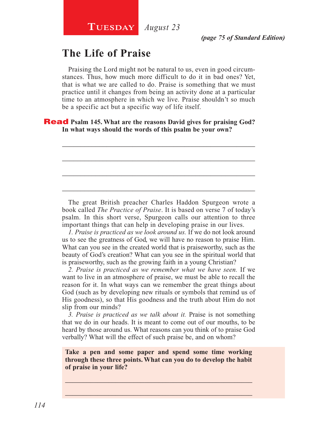# **The Life of Praise**

Praising the Lord might not be natural to us, even in good circumstances. Thus, how much more difficult to do it in bad ones? Yet, that is what we are called to do. Praise is something that we must practice until it changes from being an activity done at a particular time to an atmosphere in which we live. Praise shouldn't so much be a specific act but a specific way of life itself.

\_\_\_\_\_\_\_\_\_\_\_\_\_\_\_\_\_\_\_\_\_\_\_\_\_\_\_\_\_\_\_\_\_\_\_\_\_\_\_\_\_\_\_\_\_\_\_\_\_\_\_\_

\_\_\_\_\_\_\_\_\_\_\_\_\_\_\_\_\_\_\_\_\_\_\_\_\_\_\_\_\_\_\_\_\_\_\_\_\_\_\_\_\_\_\_\_\_\_\_\_\_\_\_\_

\_\_\_\_\_\_\_\_\_\_\_\_\_\_\_\_\_\_\_\_\_\_\_\_\_\_\_\_\_\_\_\_\_\_\_\_\_\_\_\_\_\_\_\_\_\_\_\_\_\_\_\_

\_\_\_\_\_\_\_\_\_\_\_\_\_\_\_\_\_\_\_\_\_\_\_\_\_\_\_\_\_\_\_\_\_\_\_\_\_\_\_\_\_\_\_\_\_\_\_\_\_\_\_\_

Read **Psalm 145. What are the reasons David gives for praising God? In what ways should the words of this psalm be your own?**

The great British preacher Charles Haddon Spurgeon wrote a book called *The Practice of Praise*. It is based on verse 7 of today's psalm. In this short verse, Spurgeon calls our attention to three important things that can help in developing praise in our lives.

*1. Praise is practiced as we look around us.* If we do not look around us to see the greatness of God, we will have no reason to praise Him. What can you see in the created world that is praiseworthy, such as the beauty of God's creation? What can you see in the spiritual world that is praiseworthy, such as the growing faith in a young Christian?

*2. Praise is practiced as we remember what we have seen.* If we want to live in an atmosphere of praise, we must be able to recall the reason for it. In what ways can we remember the great things about God (such as by developing new rituals or symbols that remind us of His goodness), so that His goodness and the truth about Him do not slip from our minds?

*3. Praise is practiced as we talk about it.* Praise is not something that we do in our heads. It is meant to come out of our mouths, to be heard by those around us. What reasons can you think of to praise God verbally? What will the effect of such praise be, and on whom?

**Take a pen and some paper and spend some time working through these three points. What can you do to develop the habit of praise in your life?**

\_\_\_\_\_\_\_\_\_\_\_\_\_\_\_\_\_\_\_\_\_\_\_\_\_\_\_\_\_\_\_\_\_\_\_\_\_\_\_\_\_\_\_\_\_\_\_\_\_\_\_\_ \_\_\_\_\_\_\_\_\_\_\_\_\_\_\_\_\_\_\_\_\_\_\_\_\_\_\_\_\_\_\_\_\_\_\_\_\_\_\_\_\_\_\_\_\_\_\_\_\_\_\_\_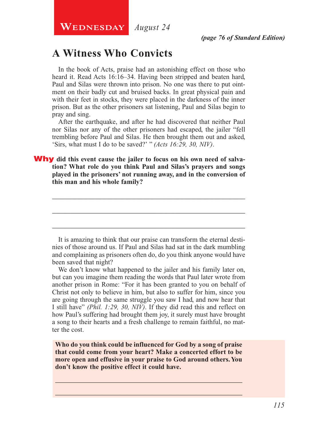# **A Witness Who Convicts**

In the book of Acts, praise had an astonishing effect on those who heard it. Read Acts 16:16–34. Having been stripped and beaten hard, Paul and Silas were thrown into prison. No one was there to put ointment on their badly cut and bruised backs. In great physical pain and with their feet in stocks, they were placed in the darkness of the inner prison. But as the other prisoners sat listening, Paul and Silas begin to pray and sing.

After the earthquake, and after he had discovered that neither Paul nor Silas nor any of the other prisoners had escaped, the jailer "fell trembling before Paul and Silas. He then brought them out and asked, 'Sirs, what must I do to be saved?' " *(Acts 16:29, 30, NIV)*.

Why **did this event cause the jailer to focus on his own need of salvation? What role do you think Paul and Silas's prayers and songs played in the prisoners' not running away, and in the conversion of this man and his whole family?**

It is amazing to think that our praise can transform the eternal destinies of those around us. If Paul and Silas had sat in the dark mumbling and complaining as prisoners often do, do you think anyone would have been saved that night?

\_\_\_\_\_\_\_\_\_\_\_\_\_\_\_\_\_\_\_\_\_\_\_\_\_\_\_\_\_\_\_\_\_\_\_\_\_\_\_\_\_\_\_\_\_\_\_\_\_\_\_\_

\_\_\_\_\_\_\_\_\_\_\_\_\_\_\_\_\_\_\_\_\_\_\_\_\_\_\_\_\_\_\_\_\_\_\_\_\_\_\_\_\_\_\_\_\_\_\_\_\_\_\_\_

\_\_\_\_\_\_\_\_\_\_\_\_\_\_\_\_\_\_\_\_\_\_\_\_\_\_\_\_\_\_\_\_\_\_\_\_\_\_\_\_\_\_\_\_\_\_\_\_\_\_\_\_

We don't know what happened to the jailer and his family later on, but can you imagine them reading the words that Paul later wrote from another prison in Rome: "For it has been granted to you on behalf of Christ not only to believe in him, but also to suffer for him, since you are going through the same struggle you saw I had, and now hear that I still have" *(Phil. 1:29, 30, NIV)*. If they did read this and reflect on how Paul's suffering had brought them joy, it surely must have brought a song to their hearts and a fresh challenge to remain faithful, no matter the cost.

**Who do you think could be influenced for God by a song of praise that could come from your heart? Make a concerted effort to be more open and effusive in your praise to God around others. You don't know the positive effect it could have.**

\_\_\_\_\_\_\_\_\_\_\_\_\_\_\_\_\_\_\_\_\_\_\_\_\_\_\_\_\_\_\_\_\_\_\_\_\_\_\_\_\_\_\_\_\_\_\_\_\_\_\_\_ \_\_\_\_\_\_\_\_\_\_\_\_\_\_\_\_\_\_\_\_\_\_\_\_\_\_\_\_\_\_\_\_\_\_\_\_\_\_\_\_\_\_\_\_\_\_\_\_\_\_\_\_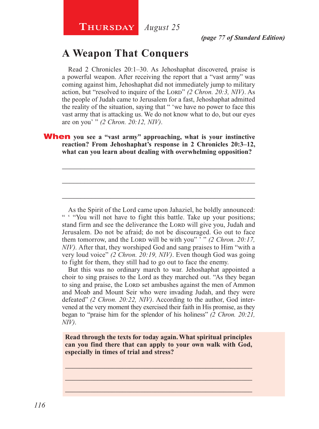# **A Weapon That Conquers**

Read 2 Chronicles 20:1–30. As Jehoshaphat discovered, praise is a powerful weapon. After receiving the report that a "vast army" was coming against him, Jehoshaphat did not immediately jump to military action, but "resolved to inquire of the Lord" (2 Chron. 20:3, NIV). As the people of Judah came to Jerusalem for a fast, Jehoshaphat admitted the reality of the situation, saying that " 'we have no power to face this vast army that is attacking us. We do not know what to do, but our eyes are on you' " *(2 Chron. 20:12, NIV)*.

#### **When** you see a "vast army" approaching, what is your instinctive **reaction? From Jehoshaphat's response in 2 Chronicles 20:3–12, what can you learn about dealing with overwhelming opposition?**

\_\_\_\_\_\_\_\_\_\_\_\_\_\_\_\_\_\_\_\_\_\_\_\_\_\_\_\_\_\_\_\_\_\_\_\_\_\_\_\_\_\_\_\_\_\_\_\_\_\_\_\_

\_\_\_\_\_\_\_\_\_\_\_\_\_\_\_\_\_\_\_\_\_\_\_\_\_\_\_\_\_\_\_\_\_\_\_\_\_\_\_\_\_\_\_\_\_\_\_\_\_\_\_\_

\_\_\_\_\_\_\_\_\_\_\_\_\_\_\_\_\_\_\_\_\_\_\_\_\_\_\_\_\_\_\_\_\_\_\_\_\_\_\_\_\_\_\_\_\_\_\_\_\_\_\_\_

As the Spirit of the Lord came upon Jahaziel, he boldly announced: " " "You will not have to fight this battle. Take up your positions; stand firm and see the deliverance the LORD will give you, Judah and Jerusalem. Do not be afraid; do not be discouraged. Go out to face them tomorrow, and the Lorp will be with you" '" (2 Chron. 20:17, *NIV).* After that, they worshiped God and sang praises to Him "with a very loud voice" *(2 Chron. 20:19, NIV)*. Even though God was going to fight for them, they still had to go out to face the enemy.

But this was no ordinary march to war. Jehoshaphat appointed a choir to sing praises to the Lord as they marched out. "As they began to sing and praise, the LORD set ambushes against the men of Ammon and Moab and Mount Seir who were invading Judah, and they were defeated" *(2 Chron. 20:22, NIV)*. According to the author, God intervened at the very moment they exercised their faith in His promise, as they began to "praise him for the splendor of his holiness" *(2 Chron. 20:21, NIV)*.

**Read through the texts for today again. What spiritual principles can you find there that can apply to your own walk with God, especially in times of trial and stress?**

\_\_\_\_\_\_\_\_\_\_\_\_\_\_\_\_\_\_\_\_\_\_\_\_\_\_\_\_\_\_\_\_\_\_\_\_\_\_\_\_\_\_\_\_\_\_\_\_\_\_\_\_ \_\_\_\_\_\_\_\_\_\_\_\_\_\_\_\_\_\_\_\_\_\_\_\_\_\_\_\_\_\_\_\_\_\_\_\_\_\_\_\_\_\_\_\_\_\_\_\_\_\_\_\_ \_\_\_\_\_\_\_\_\_\_\_\_\_\_\_\_\_\_\_\_\_\_\_\_\_\_\_\_\_\_\_\_\_\_\_\_\_\_\_\_\_\_\_\_\_\_\_\_\_\_\_\_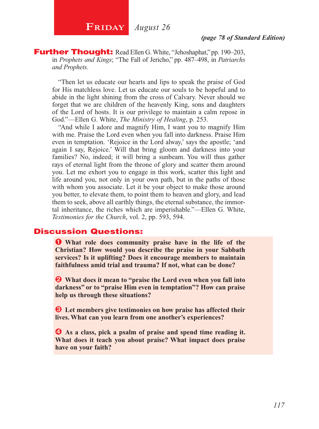**Further Thought:** Read Ellen G. White, "Jehoshaphat," pp. 190–203, in *Prophets and Kings*; "The Fall of Jericho," pp. 487–498, in *Patriarchs and Prophets*.

"Then let us educate our hearts and lips to speak the praise of God for His matchless love. Let us educate our souls to be hopeful and to abide in the light shining from the cross of Calvary. Never should we forget that we are children of the heavenly King, sons and daughters of the Lord of hosts. It is our privilege to maintain a calm repose in God."—Ellen G. White, *The Ministry of Healing*, p. 253.

"And while I adore and magnify Him, I want you to magnify Him with me. Praise the Lord even when you fall into darkness. Praise Him even in temptation. 'Rejoice in the Lord alway,' says the apostle; 'and again I say, Rejoice.' Will that bring gloom and darkness into your families? No, indeed; it will bring a sunbeam. You will thus gather rays of eternal light from the throne of glory and scatter them around you. Let me exhort you to engage in this work, scatter this light and life around you, not only in your own path, but in the paths of those with whom you associate. Let it be your object to make those around you better, to elevate them, to point them to heaven and glory, and lead them to seek, above all earthly things, the eternal substance, the immortal inheritance, the riches which are imperishable."—Ellen G. White, *Testimonies for the Church*, vol. 2, pp. 593, 594.

#### Discussion Questions:

**O** What role does community praise have in the life of the **Christian? How would you describe the praise in your Sabbath services? Is it uplifting? Does it encourage members to maintain faithfulness amid trial and trauma? If not, what can be done?**

 $\bullet$  What does it mean to "praise the Lord even when you fall into **darkness" or to "praise Him even in temptation"? How can praise help us through these situations?**

 $\bullet$  Let members give testimonies on how praise has affected their **lives. What can you learn from one another's experiences?**

 $\bullet$  As a class, pick a psalm of praise and spend time reading it. **What does it teach you about praise? What impact does praise have on your faith?**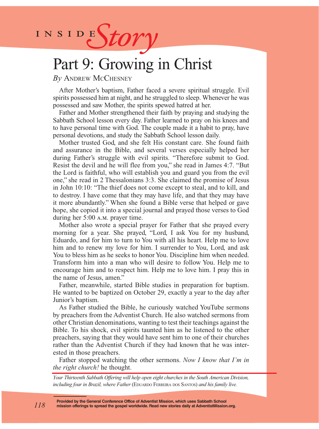INSIDES*tory* 

# Part 9: Growing in Christ

*By* Andrew McChesney

After Mother's baptism, Father faced a severe spiritual struggle. Evil spirits possessed him at night, and he struggled to sleep. Whenever he was possessed and saw Mother, the spirits spewed hatred at her.

Father and Mother strengthened their faith by praying and studying the Sabbath School lesson every day. Father learned to pray on his knees and to have personal time with God. The couple made it a habit to pray, have personal devotions, and study the Sabbath School lesson daily.

Mother trusted God, and she felt His constant care. She found faith and assurance in the Bible, and several verses especially helped her during Father's struggle with evil spirits. "Therefore submit to God. Resist the devil and he will flee from you," she read in James 4:7. "But the Lord is faithful, who will establish you and guard you from the evil one," she read in 2 Thessalonians 3:3. She claimed the promise of Jesus in John 10:10: "The thief does not come except to steal, and to kill, and to destroy. I have come that they may have life, and that they may have it more abundantly." When she found a Bible verse that helped or gave hope, she copied it into a special journal and prayed those verses to God during her 5:00 a.m. prayer time.

Mother also wrote a special prayer for Father that she prayed every morning for a year. She prayed, "Lord, I ask You for my husband, Eduardo, and for him to turn to You with all his heart. Help me to love him and to renew my love for him. I surrender to You, Lord, and ask You to bless him as he seeks to honor You. Discipline him when needed. Transform him into a man who will desire to follow You. Help me to encourage him and to respect him. Help me to love him. I pray this in the name of Jesus, amen."

Father, meanwhile, started Bible studies in preparation for baptism. He wanted to be baptized on October 29, exactly a year to the day after Junior's baptism.

As Father studied the Bible, he curiously watched YouTube sermons by preachers from the Adventist Church. He also watched sermons from other Christian denominations, wanting to test their teachings against the Bible. To his shock, evil spirits taunted him as he listened to the other preachers, saying that they would have sent him to one of their churches rather than the Adventist Church if they had known that he was interested in those preachers.

Father stopped watching the other sermons. *Now I know that I'm in the right church!* he thought.

*Your Thirteenth Sabbath Offering will help open eight churches in the South American Division, including four in Brazil, where Father* (EDUARDO FERREIRA DOS SANTOS) *and his family live.*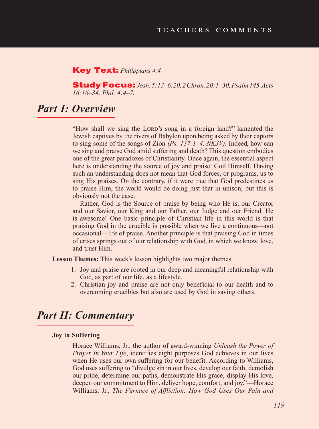#### Key Text: *Philippians 4:4*

StudyFocus: *Josh. 5:13–6:20, 2 Chron. 20:1–30, Psalm 145, Acts 16:16–34, Phil. 4:4–7.*

### *Part I: Overview*

"How shall we sing the LORD's song in a foreign land?" lamented the Jewish captives by the rivers of Babylon upon being asked by their captors to sing some of the songs of Zion *(Ps. 137:1–4, NKJV).* Indeed, how can we sing and praise God amid suffering and death? This question embodies one of the great paradoxes of Christianity. Once again, the essential aspect here is understanding the source of joy and praise: God Himself. Having such an understanding does not mean that God forces, or programs, us to sing His praises. On the contrary, if it were true that God predestines us to praise Him, the world would be doing just that in unison; but this is obviously not the case.

Rather, God is the Source of praise by being who He is, our Creator and our Savior, our King and our Father, our Judge and our Friend. He is awesome! One basic principle of Christian life in this world is that praising God in the crucible is possible when we live a continuous—not occasional—life of praise. Another principle is that praising God in times of crises springs out of our relationship with God, in which we know, love, and trust Him.

**Lesson Themes:** This week's lesson highlights two major themes.

- 1. Joy and praise are rooted in our deep and meaningful relationship with God, as part of our life, as a lifestyle.
- 2. Christian joy and praise are not only beneficial to our health and to overcoming crucibles but also are used by God in saving others.

# *Part II: Commentary*

#### **Joy in Suffering**

Horace Williams, Jr., the author of award-winning *Unleash the Power of Prayer in Your Life*, identifies eight purposes God achieves in our lives when He uses our own suffering for our benefit. According to Williams, God uses suffering to "divulge sin in our lives, develop our faith, demolish our pride, determine our paths, demonstrate His grace, display His love, deepen our commitment to Him, deliver hope, comfort, and joy."—Horace Williams, Jr., *The Furnace of Affliction: How God Uses Our Pain and*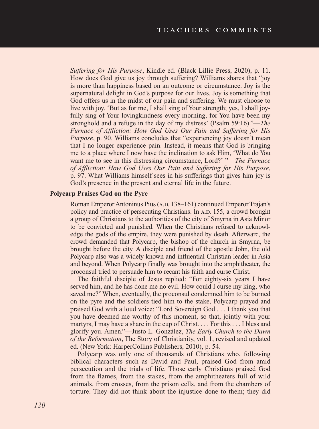*Suffering for His Purpose*, Kindle ed. (Black Lillie Press, 2020), p. 11. How does God give us joy through suffering? Williams shares that "joy is more than happiness based on an outcome or circumstance. Joy is the supernatural delight in God's purpose for our lives. Joy is something that God offers us in the midst of our pain and suffering. We must choose to live with joy. 'But as for me, I shall sing of Your strength; yes, I shall joyfully sing of Your lovingkindness every morning, for You have been my stronghold and a refuge in the day of my distress' (Psalm 59:16)."—*The Furnace of Affliction: How God Uses Our Pain and Suffering for His Purpose*, p. 90. Williams concludes that "experiencing joy doesn't mean that I no longer experience pain. Instead, it means that God is bringing me to a place where I now have the inclination to ask Him, 'What do You want me to see in this distressing circumstance, Lord?' "—*The Furnace of Affliction: How God Uses Our Pain and Suffering for His Purpose*, p. 97. What Williams himself sees in his sufferings that gives him joy is God's presence in the present and eternal life in the future.

#### **Polycarp Praises God on the Pyre**

Roman Emperor Antoninus Pius (A.D. 138–161) continued Emperor Trajan's policy and practice of persecuting Christians. In A.D. 155, a crowd brought a group of Christians to the authorities of the city of Smyrna in Asia Minor to be convicted and punished. When the Christians refused to acknowledge the gods of the empire, they were punished by death. Afterward, the crowd demanded that Polycarp, the bishop of the church in Smyrna, be brought before the city. A disciple and friend of the apostle John, the old Polycarp also was a widely known and influential Christian leader in Asia and beyond. When Polycarp finally was brought into the amphitheater, the proconsul tried to persuade him to recant his faith and curse Christ.

The faithful disciple of Jesus replied: "For eighty-six years I have served him, and he has done me no evil. How could I curse my king, who saved me?" When, eventually, the proconsul condemned him to be burned on the pyre and the soldiers tied him to the stake, Polycarp prayed and praised God with a loud voice: "Lord Sovereign God . . . I thank you that you have deemed me worthy of this moment, so that, jointly with your martyrs, I may have a share in the cup of Christ. . . . For this . . . I bless and glorify you. Amen."—Justo L. González, *The Early Church to the Dawn of the Reformation*, The Story of Christianity, vol. 1, revised and updated ed. (New York: HarperCollins Publishers, 2010), p. 54.

Polycarp was only one of thousands of Christians who, following biblical characters such as David and Paul, praised God from amid persecution and the trials of life. Those early Christians praised God from the flames, from the stakes, from the amphitheaters full of wild animals, from crosses, from the prison cells, and from the chambers of torture. They did not think about the injustice done to them; they did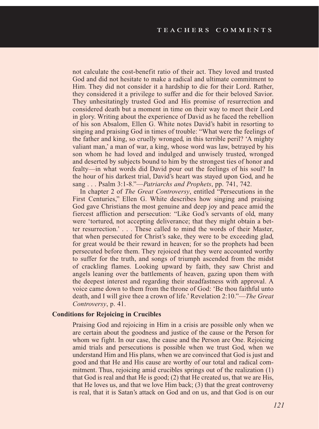not calculate the cost-benefit ratio of their act. They loved and trusted God and did not hesitate to make a radical and ultimate commitment to Him. They did not consider it a hardship to die for their Lord. Rather, they considered it a privilege to suffer and die for their beloved Savior. They unhesitatingly trusted God and His promise of resurrection and considered death but a moment in time on their way to meet their Lord in glory. Writing about the experience of David as he faced the rebellion of his son Absalom, Ellen G. White notes David's habit in resorting to singing and praising God in times of trouble: "What were the feelings of the father and king, so cruelly wronged, in this terrible peril? 'A mighty valiant man,' a man of war, a king, whose word was law, betrayed by his son whom he had loved and indulged and unwisely trusted, wronged and deserted by subjects bound to him by the strongest ties of honor and fealty—in what words did David pour out the feelings of his soul? In the hour of his darkest trial, David's heart was stayed upon God, and he sang . . . Psalm 3:1-8."—*Patriarchs and Prophets*, pp. 741, 742.

In chapter 2 of *The Great Controversy*, entitled "Persecutions in the First Centuries," Ellen G. White describes how singing and praising God gave Christians the most genuine and deep joy and peace amid the fiercest affliction and persecution: "Like God's servants of old, many were 'tortured, not accepting deliverance; that they might obtain a better resurrection.' . . . These called to mind the words of their Master, that when persecuted for Christ's sake, they were to be exceeding glad, for great would be their reward in heaven; for so the prophets had been persecuted before them. They rejoiced that they were accounted worthy to suffer for the truth, and songs of triumph ascended from the midst of crackling flames. Looking upward by faith, they saw Christ and angels leaning over the battlements of heaven, gazing upon them with the deepest interest and regarding their steadfastness with approval. A voice came down to them from the throne of God: 'Be thou faithful unto death, and I will give thee a crown of life.' Revelation 2:10."—*The Great Controversy*, p. 41.

#### **Conditions for Rejoicing in Crucibles**

Praising God and rejoicing in Him in a crisis are possible only when we are certain about the goodness and justice of the cause or the Person for whom we fight. In our case, the cause and the Person are One. Rejoicing amid trials and persecutions is possible when we trust God, when we understand Him and His plans, when we are convinced that God is just and good and that He and His cause are worthy of our total and radical commitment. Thus, rejoicing amid crucibles springs out of the realization (1) that God is real and that He is good; (2) that He created us, that we are His, that He loves us, and that we love Him back; (3) that the great controversy is real, that it is Satan's attack on God and on us, and that God is on our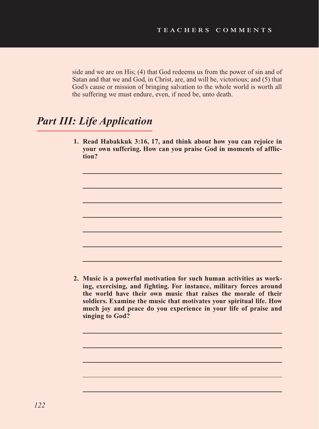side and we are on His; (4) that God redeems us from the power of sin and of Satan and that we and God, in Christ, are, and will be, victorious; and (5) that God's cause or mission of bringing salvation to the whole world is worth all the suffering we must endure, even, if need be, unto death.

# *Part III: Life Application*

**1. Read Habakkuk 3:16, 17, and think about how you can rejoice in your own suffering. How can you praise God in moments of affliction?**

**2. Music is a powerful motivation for such human activities as working, exercising, and fighting. For instance, military forces around the world have their own music that raises the morale of their soldiers. Examine the music that motivates your spiritual life. How much joy and peace do you experience in your life of praise and singing to God?**